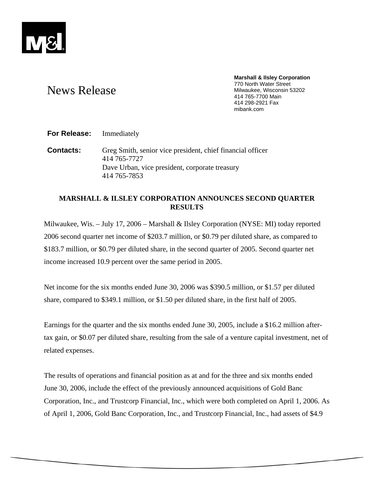

#### **Marshall & Ilsley Corporation**  770 North Water Street Milwaukee, Wisconsin 53202 414 765-7700 Main 414 298-2921 Fax mibank.com

# News Release

**For Release:** Immediately

**Contacts:** Greg Smith, senior vice president, chief financial officer 414 765-7727 Dave Urban, vice president, corporate treasury 414 765-7853

# **MARSHALL & ILSLEY CORPORATION ANNOUNCES SECOND QUARTER RESULTS**

Milwaukee, Wis. – July 17, 2006 – Marshall & Ilsley Corporation (NYSE: MI) today reported 2006 second quarter net income of \$203.7 million, or \$0.79 per diluted share, as compared to \$183.7 million, or \$0.79 per diluted share, in the second quarter of 2005. Second quarter net income increased 10.9 percent over the same period in 2005.

Net income for the six months ended June 30, 2006 was \$390.5 million, or \$1.57 per diluted share, compared to \$349.1 million, or \$1.50 per diluted share, in the first half of 2005.

Earnings for the quarter and the six months ended June 30, 2005, include a \$16.2 million aftertax gain, or \$0.07 per diluted share, resulting from the sale of a venture capital investment, net of related expenses.

The results of operations and financial position as at and for the three and six months ended June 30, 2006, include the effect of the previously announced acquisitions of Gold Banc Corporation, Inc., and Trustcorp Financial, Inc., which were both completed on April 1, 2006. As of April 1, 2006, Gold Banc Corporation, Inc., and Trustcorp Financial, Inc., had assets of \$4.9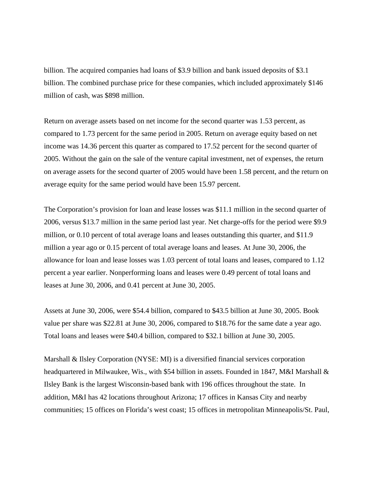billion. The acquired companies had loans of \$3.9 billion and bank issued deposits of \$3.1 billion. The combined purchase price for these companies, which included approximately \$146 million of cash, was \$898 million.

Return on average assets based on net income for the second quarter was 1.53 percent, as compared to 1.73 percent for the same period in 2005. Return on average equity based on net income was 14.36 percent this quarter as compared to 17.52 percent for the second quarter of 2005. Without the gain on the sale of the venture capital investment, net of expenses, the return on average assets for the second quarter of 2005 would have been 1.58 percent, and the return on average equity for the same period would have been 15.97 percent.

The Corporation's provision for loan and lease losses was \$11.1 million in the second quarter of 2006, versus \$13.7 million in the same period last year. Net charge-offs for the period were \$9.9 million, or 0.10 percent of total average loans and leases outstanding this quarter, and \$11.9 million a year ago or 0.15 percent of total average loans and leases. At June 30, 2006, the allowance for loan and lease losses was 1.03 percent of total loans and leases, compared to 1.12 percent a year earlier. Nonperforming loans and leases were 0.49 percent of total loans and leases at June 30, 2006, and 0.41 percent at June 30, 2005.

Assets at June 30, 2006, were \$54.4 billion, compared to \$43.5 billion at June 30, 2005. Book value per share was \$22.81 at June 30, 2006, compared to \$18.76 for the same date a year ago. Total loans and leases were \$40.4 billion, compared to \$32.1 billion at June 30, 2005.

Marshall & Ilsley Corporation (NYSE: MI) is a diversified financial services corporation headquartered in Milwaukee, Wis., with \$54 billion in assets. Founded in 1847, M&I Marshall & Ilsley Bank is the largest Wisconsin-based bank with 196 offices throughout the state. In addition, M&I has 42 locations throughout Arizona; 17 offices in Kansas City and nearby communities; 15 offices on Florida's west coast; 15 offices in metropolitan Minneapolis/St. Paul,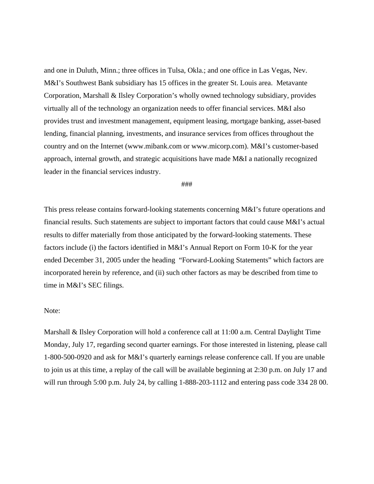and one in Duluth, Minn.; three offices in Tulsa, Okla.; and one office in Las Vegas, Nev. M&I's Southwest Bank subsidiary has 15 offices in the greater St. Louis area. Metavante Corporation, Marshall & Ilsley Corporation's wholly owned technology subsidiary, provides virtually all of the technology an organization needs to offer financial services. M&I also provides trust and investment management, equipment leasing, mortgage banking, asset-based lending, financial planning, investments, and insurance services from offices throughout the country and on the Internet (www.mibank.com or www.micorp.com). M&I's customer-based approach, internal growth, and strategic acquisitions have made M&I a nationally recognized leader in the financial services industry.

#### ###

This press release contains forward-looking statements concerning M&I's future operations and financial results. Such statements are subject to important factors that could cause M&I's actual results to differ materially from those anticipated by the forward-looking statements. These factors include (i) the factors identified in M&I's Annual Report on Form 10-K for the year ended December 31, 2005 under the heading "Forward-Looking Statements" which factors are incorporated herein by reference, and (ii) such other factors as may be described from time to time in M&I's SEC filings.

### Note:

Marshall & Ilsley Corporation will hold a conference call at 11:00 a.m. Central Daylight Time Monday, July 17, regarding second quarter earnings. For those interested in listening, please call 1-800-500-0920 and ask for M&I's quarterly earnings release conference call. If you are unable to join us at this time, a replay of the call will be available beginning at 2:30 p.m. on July 17 and will run through 5:00 p.m. July 24, by calling 1-888-203-1112 and entering pass code 334 28 00.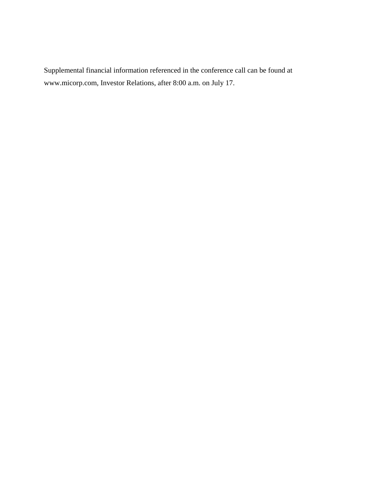Supplemental financial information referenced in the conference call can be found at www.micorp.com, Investor Relations, after 8:00 a.m. on July 17.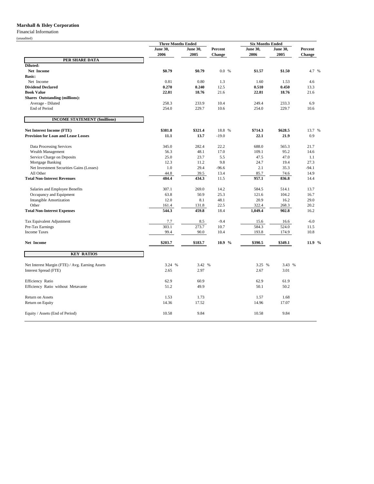#### **Marshall & Ilsley Corporation**

## Financial Information

|                                                 | <b>Three Months Ended</b> |                         |                   | <b>Six Months Ended</b> |                         |                   |
|-------------------------------------------------|---------------------------|-------------------------|-------------------|-------------------------|-------------------------|-------------------|
|                                                 | <b>June 30,</b><br>2006   | <b>June 30,</b><br>2005 | Percent<br>Change | <b>June 30,</b><br>2006 | <b>June 30,</b><br>2005 | Percent<br>Change |
| PER SHARE DATA                                  |                           |                         |                   |                         |                         |                   |
| Diluted:                                        |                           |                         |                   |                         |                         |                   |
| Net Income                                      | \$0.79                    | \$0.79                  | 0.0%              | \$1.57                  | \$1.50                  | 4.7 %             |
| <b>Basic:</b>                                   |                           |                         |                   |                         |                         |                   |
| Net Income                                      | 0.81                      | 0.80                    | 1.3               | 1.60                    | 1.53                    | 4.6               |
| <b>Dividend Declared</b>                        | 0.270                     | 0.240                   | 12.5              | 0.510                   | 0.450                   | 13.3              |
| <b>Book Value</b>                               | 22.81                     | 18.76                   | 21.6              | 22.81                   | 18.76                   | 21.6              |
| <b>Shares Outstanding (millions):</b>           |                           |                         |                   |                         |                         |                   |
| Average - Diluted                               | 258.3                     | 233.9                   | 10.4              | 249.4                   | 233.3                   | 6.9               |
| End of Period                                   | 254.0                     | 229.7                   | 10.6              | 254.0                   | 229.7                   | 10.6              |
| <b>INCOME STATEMENT (\$millions)</b>            |                           |                         |                   |                         |                         |                   |
| <b>Net Interest Income (FTE)</b>                | \$381.8                   | \$321.4                 | 18.8 %            | \$714.3                 | \$628.5                 | 13.7 %            |
| <b>Provision for Loan and Lease Losses</b>      | 11.1                      | 13.7                    | $-19.0$           | 22.1                    | 21.9                    | 0.9               |
| Data Processing Services                        | 345.0                     | 282.4                   | 22.2              | 688.0                   | 565.3                   | 21.7              |
| Wealth Management                               | 56.3                      | 48.1                    | 17.0              | 109.1                   | 95.2                    | 14.6              |
| Service Charge on Deposits                      | 25.0                      | 23.7                    | 5.5               | 47.5                    | 47.0                    | 1.1               |
| Mortgage Banking                                | 12.3                      | 11.2                    | 9.8               | 24.7                    | 19.4                    | 27.3              |
| Net Investment Securities Gains (Losses)        | $1.0\,$                   | 29.4                    | $-96.6$           | 2.1                     | 35.3                    | $-94.1$           |
| All Other                                       | 44.8                      | 39.5                    | 13.4              | 85.7                    | 74.6                    | 14.9              |
| <b>Total Non-Interest Revenues</b>              | 484.4                     | 434.3                   | 11.5              | 957.1                   | 836.8                   | 14.4              |
| Salaries and Employee Benefits                  | 307.1                     | 269.0                   | 14.2              | 584.5                   | 514.1                   | 13.7              |
| Occupancy and Equipment                         | 63.8                      | 50.9                    | 25.3              | 121.6                   | 104.2                   | 16.7              |
| <b>Intangible Amortization</b>                  | 12.0                      | 8.1                     | 48.1              | 20.9                    | 16.2                    | 29.0              |
| Other                                           | 161.4                     | 131.8                   | 22.5              | 322.4                   | 268.3                   | 20.2              |
| <b>Total Non-Interest Expenses</b>              | 544.3                     | 459.8                   | 18.4              | 1,049.4                 | 902.8                   | 16.2              |
| Tax Equivalent Adjustment                       | 7.7                       | 8.5                     | $-9.4$            | 15.6                    | 16.6                    | $-6.0$            |
| Pre-Tax Earnings                                | 303.1                     | 273.7                   | 10.7              | 584.3                   | 524.0                   | 11.5              |
| <b>Income Taxes</b>                             | 99.4                      | 90.0                    | 10.4              | 193.8                   | 174.9                   | 10.8              |
| Net Income                                      | \$203.7                   | \$183.7                 | 10.9 %            | \$390.5                 | \$349.1                 | 11.9 %            |
| <b>KEY RATIOS</b>                               |                           |                         |                   |                         |                         |                   |
| Net Interest Margin (FTE) / Avg. Earning Assets | 3.24 %                    | 3.42 %                  |                   | 3.25 %                  | 3.43 %                  |                   |
| Interest Spread (FTE)                           | 2.65                      | 2.97                    |                   | 2.67                    | 3.01                    |                   |
| Efficiency Ratio                                | 62.9                      | 60.9                    |                   | 62.9                    | 61.9                    |                   |
| Efficiency Ratio without Metavante              | 51.2                      | 49.9                    |                   | 50.1                    | 50.2                    |                   |
| Return on Assets                                | 1.53                      | 1.73                    |                   | 1.57                    | 1.68                    |                   |
| Return on Equity                                | 14.36                     | 17.52                   |                   | 14.96                   | 17.07                   |                   |
| Equity / Assets (End of Period)                 | 10.58                     | 9.84                    |                   | 10.58                   | 9.84                    |                   |
|                                                 |                           |                         |                   |                         |                         |                   |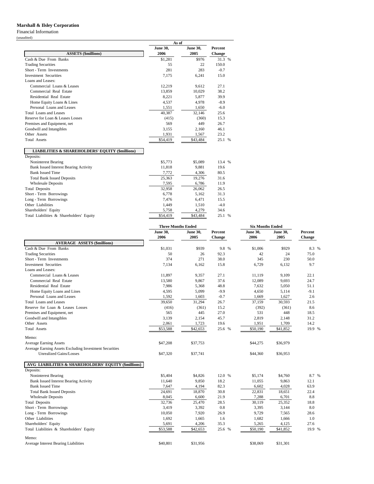#### **Marshall & Ilsley Corporation**

Financial Information

|                                                            | As of           |                 |         |  |  |
|------------------------------------------------------------|-----------------|-----------------|---------|--|--|
|                                                            | <b>June 30,</b> | <b>June 30,</b> | Percent |  |  |
| <b>ASSETS (\$millions)</b>                                 | 2006            | 2005            | Change  |  |  |
| Cash & Due From Banks                                      | \$1,281         | \$976           | 31.3 %  |  |  |
| <b>Trading Securities</b>                                  | 55              | 22              | 150.0   |  |  |
| Short - Term Investments                                   | 281             | 283             | $-0.7$  |  |  |
| <b>Investment Securities</b>                               | 7,175           | 6,241           | 15.0    |  |  |
| Loans and Leases:                                          |                 |                 |         |  |  |
| Commercial Loans & Leases                                  | 12,219          | 9.612           | 27.1    |  |  |
| Commercial Real Estate                                     | 13,859          | 10,029          | 38.2    |  |  |
| Residential Real Estate                                    | 8,221           | 5,877           | 39.9    |  |  |
| Home Equity Loans & Lines                                  | 4,537           | 4,978           | $-8.9$  |  |  |
| Personal Loans and Leases                                  | 1,551           | 1,650           | $-6.0$  |  |  |
| Total Loans and Leases                                     | 40,387          | 32,146          | 25.6    |  |  |
| Reserve for Loan & Leases Losses                           | (415)           | (360)           | 15.3    |  |  |
| Premises and Equipment, net                                | 569             | 449             | 26.7    |  |  |
| Goodwill and Intangibles                                   | 3,155           | 2,160           | 46.1    |  |  |
| Other Assets                                               | 1,931           | 1,567           | 23.2    |  |  |
| <b>Total Assets</b>                                        | \$54,419        | \$43,484        | 25.1 %  |  |  |
| <b>LIABILITIES &amp; SHAREHOLDERS' EQUITY (\$millions)</b> |                 |                 |         |  |  |
| Deposits:                                                  |                 |                 |         |  |  |
| Noninterest Bearing                                        | \$5,773         | \$5,089         | 13.4 %  |  |  |
| <b>Bank Issued Interest Bearing Activity</b>               | 11,818          | 9.881           | 19.6    |  |  |
| <b>Bank Issued Time</b>                                    | 7.772           | 4,306           | 80.5    |  |  |
| <b>Total Bank Issued Deposits</b>                          | 25,363          | 19,276          | 31.6    |  |  |
| <b>Wholesale Deposits</b>                                  | 7.595           | 6.786           | 11.9    |  |  |
| <b>Total Deposits</b>                                      | 32,958          | 26,062          | 26.5    |  |  |
| Short - Term Borrowings                                    | 6,778           | 5,162           | 31.3    |  |  |
| Long - Term Borrowings                                     | 7,476           | 6,471           | 15.5    |  |  |
| Other Liabilities                                          | 1,449           | 1,510           | $-4.0$  |  |  |
| Shareholders' Equity                                       | 5.758           | 4.279           | 34.6    |  |  |

Total Liabilities & Shareholders' Equity **\$54,419** \$54,419 \$43,484 25.1 %

|                                                        | <b>Three Months Ended</b> |                 |               | <b>Six Months Ended</b> |                 |               |  |  |
|--------------------------------------------------------|---------------------------|-----------------|---------------|-------------------------|-----------------|---------------|--|--|
|                                                        | <b>June 30,</b>           | <b>June 30,</b> | Percent       | <b>June 30,</b>         | <b>June 30,</b> | Percent       |  |  |
|                                                        | 2006                      | 2005            | <b>Change</b> | 2006                    | 2005            | <b>Change</b> |  |  |
| <b>AVERAGE ASSETS (\$millions)</b>                     |                           |                 |               |                         |                 |               |  |  |
| Cash & Due From Banks                                  | \$1,031                   | \$939           | 9.8 %         | \$1,006                 | \$929           | 8.3 %         |  |  |
| <b>Trading Securities</b>                              | 50                        | 26              | 92.3          | 42                      | 24              | 75.0          |  |  |
| Short - Term Investments                               | 374                       | 271             | 38.0          | 345                     | 230             | 50.0          |  |  |
| <b>Investment Securities</b>                           | 7,134                     | 6,162           | 15.8          | 6,729                   | 6,132           | 9.7           |  |  |
| Loans and Leases:                                      |                           |                 |               |                         |                 |               |  |  |
| Commercial Loans & Leases                              | 11,897                    | 9,357           | 27.1          | 11,119                  | 9,109           | 22.1          |  |  |
| Commercial Real Estate                                 | 13,580                    | 9,867           | 37.6          | 12,089                  | 9,693           | 24.7          |  |  |
| Residential Real Estate                                | 7,986                     | 5,368           | 48.8          | 7,632                   | 5,050           | 51.1          |  |  |
| Home Equity Loans and Lines                            | 4,595                     | 5,099           | $-9.9$        | 4,650                   | 5,114           | $-9.1$        |  |  |
| Personal Loans and Leases                              | 1,592                     | 1,603           | $-0.7$        | 1,669                   | 1,627           | 2.6           |  |  |
| Total Loans and Leases                                 | 39.650                    | 31,294          | 26.7          | 37,159                  | 30,593          | 21.5          |  |  |
| Reserve for Loan & Leases Losses                       | (416)                     | (361)           | 15.2          | (392)                   | (361)           | 8.6           |  |  |
| Premises and Equipment, net                            | 565                       | 445             | 27.0          | 531                     | 448             | 18.5          |  |  |
| Goodwill and Intangibles                               | 3,139                     | 2,154           | 45.7          | 2,819                   | 2,148           | 31.2          |  |  |
| Other Assets                                           | 2,061                     | 1,723           | 19.6          | 1,951                   | 1,709           | 14.2          |  |  |
| <b>Total Assets</b>                                    | \$53,588                  | \$42,653        | 25.6 %        | \$50,190                | \$41,852        | 19.9 %        |  |  |
| Memo:                                                  |                           |                 |               |                         |                 |               |  |  |
| <b>Average Earning Assets</b>                          | \$47,208                  | \$37,753        |               | \$44,275                | \$36,979        |               |  |  |
| Average Earning Assets Excluding Investment Securities |                           |                 |               |                         |                 |               |  |  |
| <b>Unrealized Gains/Losses</b>                         | \$47,320                  | \$37,741        |               | \$44,360                | \$36,953        |               |  |  |
| AVG LIABILITIES & SHAREHOLDERS' EQUITY (\$millions)    |                           |                 |               |                         |                 |               |  |  |
| Deposits:                                              |                           |                 |               |                         |                 |               |  |  |
| Noninterest Bearing                                    | \$5,404                   | \$4,826         | 12.0 %        | \$5,174                 | \$4,760         | 8.7 %         |  |  |
| <b>Bank Issued Interest Bearing Activity</b>           | 11,640                    | 9,850           | 18.2          | 11,055                  | 9,863           | 12.1          |  |  |
| <b>Bank Issued Time</b>                                | 7,647                     | 4,194           | 82.3          | 6,602                   | 4,028           | 63.9          |  |  |
| <b>Total Bank Issued Deposits</b>                      | 24.691                    | 18,870          | 30.8          | 22,831                  | 18,651          | 22.4          |  |  |
| <b>Wholesale Deposits</b>                              | 8,045                     | 6,600           | 21.9          | 7,288                   | 6,701           | 8.8           |  |  |
| <b>Total Deposits</b>                                  | 32,736                    | 25,470          | 28.5          | 30,119                  | 25,352          | 18.8          |  |  |
| Short - Term Borrowings                                | 3,419                     | 3,392           | 0.8           | 3,395                   | 3,144           | 8.0           |  |  |
| Long - Term Borrowings                                 | 10,050                    | 7,920           | 26.9          | 9,729                   | 7,565           | 28.6          |  |  |
| Other Liabilities                                      | 1,692                     | 1,665           | 1.6           | 1,682                   | 1,666           | 1.0           |  |  |
| Shareholders' Equity                                   | 5,691                     | 4,206           | 35.3          | 5,265                   | 4,125           | 27.6          |  |  |
| Total Liabilities & Shareholders' Equity               | \$53,588                  | \$42,653        | 25.6 %        | \$50,190                | \$41,852        | 19.9 %        |  |  |
| Memo:                                                  |                           |                 |               |                         |                 |               |  |  |
| <b>Average Interest Bearing Liabilities</b>            | \$40,801                  | \$31.956        |               | \$38,069                | \$31,301        |               |  |  |